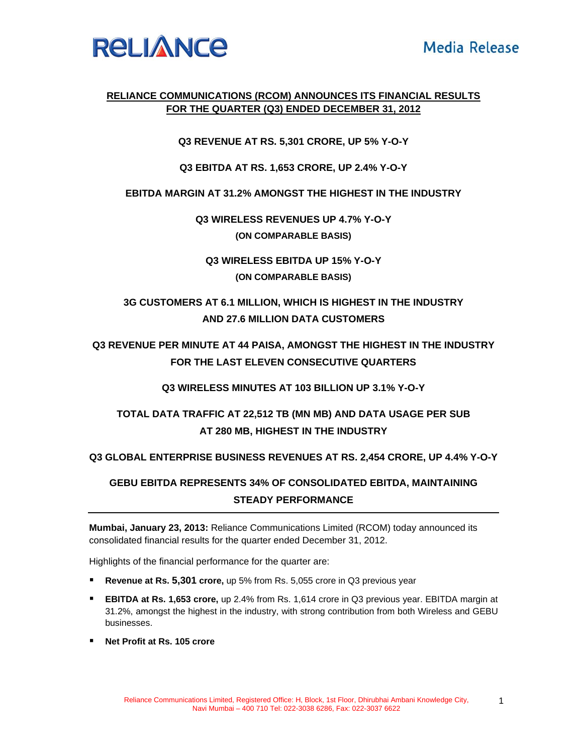

### **RELIANCE COMMUNICATIONS (RCOM) ANNOUNCES ITS FINANCIAL RESULTS FOR THE QUARTER (Q3) ENDED DECEMBER 31, 2012**

**Q3 REVENUE AT RS. 5,301 CRORE, UP 5% Y-O-Y** 

**Q3 EBITDA AT RS. 1,653 CRORE, UP 2.4% Y-O-Y** 

**EBITDA MARGIN AT 31.2% AMONGST THE HIGHEST IN THE INDUSTRY** 

**Q3 WIRELESS REVENUES UP 4.7% Y-O-Y (ON COMPARABLE BASIS)** 

**Q3 WIRELESS EBITDA UP 15% Y-O-Y (ON COMPARABLE BASIS)** 

### **3G CUSTOMERS AT 6.1 MILLION, WHICH IS HIGHEST IN THE INDUSTRY AND 27.6 MILLION DATA CUSTOMERS**

**Q3 REVENUE PER MINUTE AT 44 PAISA, AMONGST THE HIGHEST IN THE INDUSTRY FOR THE LAST ELEVEN CONSECUTIVE QUARTERS** 

**Q3 WIRELESS MINUTES AT 103 BILLION UP 3.1% Y-O-Y** 

## **TOTAL DATA TRAFFIC AT 22,512 TB (MN MB) AND DATA USAGE PER SUB AT 280 MB, HIGHEST IN THE INDUSTRY**

**Q3 GLOBAL ENTERPRISE BUSINESS REVENUES AT RS. 2,454 CRORE, UP 4.4% Y-O-Y** 

# **GEBU EBITDA REPRESENTS 34% OF CONSOLIDATED EBITDA, MAINTAINING STEADY PERFORMANCE**

**Mumbai, January 23, 2013:** Reliance Communications Limited (RCOM) today announced its consolidated financial results for the quarter ended December 31, 2012.

Highlights of the financial performance for the quarter are:

- **Revenue at Rs. 5,301 crore,** up 5% from Rs. 5,055 crore in Q3 previous year
- **EBITDA at Rs. 1,653 crore,** up 2.4% from Rs. 1,614 crore in Q3 previous year. EBITDA margin at 31.2%, amongst the highest in the industry, with strong contribution from both Wireless and GEBU businesses.
- **Net Profit at Rs. 105 crore**

1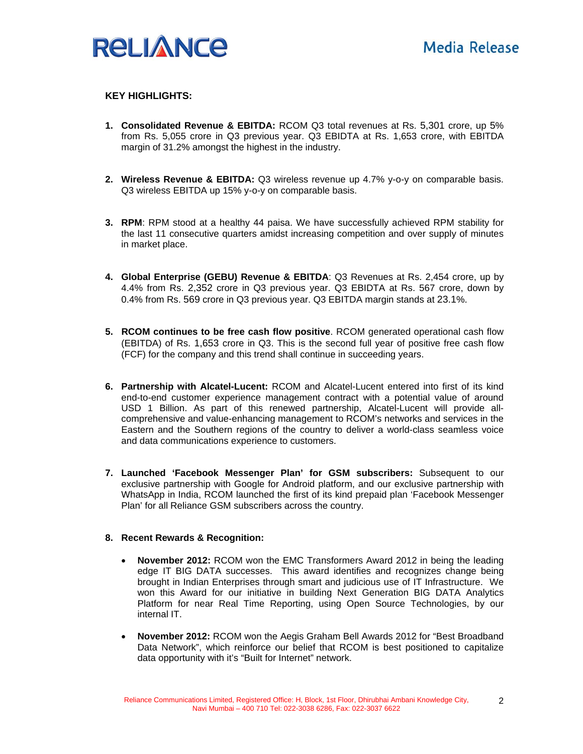

#### **KEY HIGHLIGHTS:**

- **1. Consolidated Revenue & EBITDA:** RCOM Q3 total revenues at Rs. 5,301 crore, up 5% from Rs. 5,055 crore in Q3 previous year. Q3 EBIDTA at Rs. 1,653 crore, with EBITDA margin of 31.2% amongst the highest in the industry.
- **2. Wireless Revenue & EBITDA:** Q3 wireless revenue up 4.7% y-o-y on comparable basis. Q3 wireless EBITDA up 15% y-o-y on comparable basis.
- **3. RPM**: RPM stood at a healthy 44 paisa. We have successfully achieved RPM stability for the last 11 consecutive quarters amidst increasing competition and over supply of minutes in market place.
- **4. Global Enterprise (GEBU) Revenue & EBITDA**: Q3 Revenues at Rs. 2,454 crore, up by 4.4% from Rs. 2,352 crore in Q3 previous year. Q3 EBIDTA at Rs. 567 crore, down by 0.4% from Rs. 569 crore in Q3 previous year. Q3 EBITDA margin stands at 23.1%.
- **5. RCOM continues to be free cash flow positive**. RCOM generated operational cash flow (EBITDA) of Rs. 1,653 crore in Q3. This is the second full year of positive free cash flow (FCF) for the company and this trend shall continue in succeeding years.
- **6. Partnership with Alcatel-Lucent:** RCOM and Alcatel-Lucent entered into first of its kind end-to-end customer experience management contract with a potential value of around USD 1 Billion. As part of this renewed partnership, Alcatel-Lucent will provide allcomprehensive and value-enhancing management to RCOM's networks and services in the Eastern and the Southern regions of the country to deliver a world-class seamless voice and data communications experience to customers.
- **7. Launched 'Facebook Messenger Plan' for GSM subscribers:** Subsequent to our exclusive partnership with Google for Android platform, and our exclusive partnership with WhatsApp in India, RCOM launched the first of its kind prepaid plan 'Facebook Messenger Plan' for all Reliance GSM subscribers across the country.

#### **8. Recent Rewards & Recognition:**

- **November 2012:** RCOM won the EMC Transformers Award 2012 in being the leading edge IT BIG DATA successes. This award identifies and recognizes change being brought in Indian Enterprises through smart and judicious use of IT Infrastructure. We won this Award for our initiative in building Next Generation BIG DATA Analytics Platform for near Real Time Reporting, using Open Source Technologies, by our internal IT.
- **November 2012:** RCOM won the Aegis Graham Bell Awards 2012 for "Best Broadband Data Network", which reinforce our belief that RCOM is best positioned to capitalize data opportunity with it's "Built for Internet" network.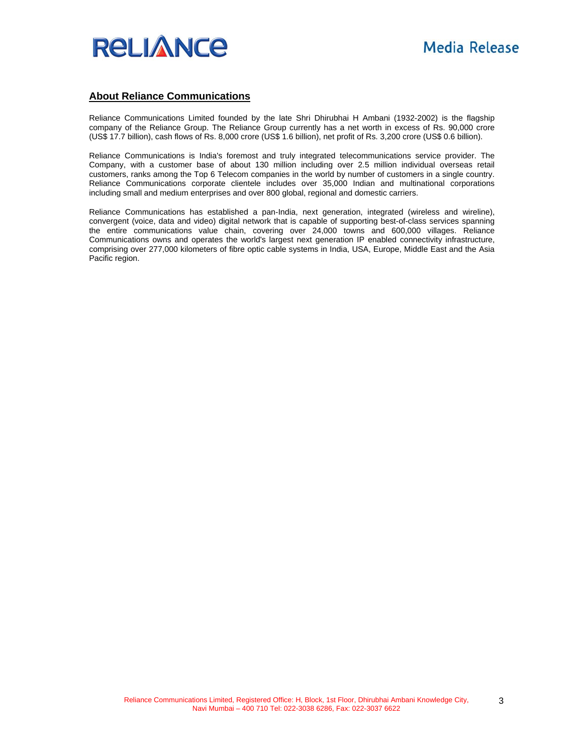

#### **About Reliance Communications**

Reliance Communications Limited founded by the late Shri Dhirubhai H Ambani (1932-2002) is the flagship company of the Reliance Group. The Reliance Group currently has a net worth in excess of Rs. 90,000 crore (US\$ 17.7 billion), cash flows of Rs. 8,000 crore (US\$ 1.6 billion), net profit of Rs. 3,200 crore (US\$ 0.6 billion).

Reliance Communications is India's foremost and truly integrated telecommunications service provider. The Company, with a customer base of about 130 million including over 2.5 million individual overseas retail customers, ranks among the Top 6 Telecom companies in the world by number of customers in a single country. Reliance Communications corporate clientele includes over 35,000 Indian and multinational corporations including small and medium enterprises and over 800 global, regional and domestic carriers.

Reliance Communications has established a pan-India, next generation, integrated (wireless and wireline), convergent (voice, data and video) digital network that is capable of supporting best-of-class services spanning the entire communications value chain, covering over 24,000 towns and 600,000 villages. Reliance Communications owns and operates the world's largest next generation IP enabled connectivity infrastructure, comprising over 277,000 kilometers of fibre optic cable systems in India, USA, Europe, Middle East and the Asia Pacific region.

3